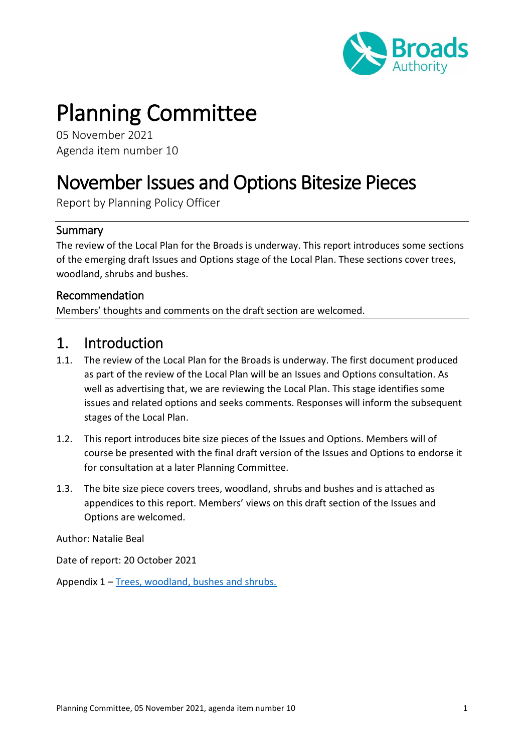

# Planning Committee

05 November 2021 Agenda item number 10

# November Issues and Options Bitesize Pieces

Report by Planning Policy Officer

### Summary

The review of the Local Plan for the Broads is underway. This report introduces some sections of the emerging draft Issues and Options stage of the Local Plan. These sections cover trees, woodland, shrubs and bushes.

#### Recommendation

Members' thoughts and comments on the draft section are welcomed.

## 1. Introduction

- 1.1. The review of the Local Plan for the Broads is underway. The first document produced as part of the review of the Local Plan will be an Issues and Options consultation. As well as advertising that, we are reviewing the Local Plan. This stage identifies some issues and related options and seeks comments. Responses will inform the subsequent stages of the Local Plan.
- 1.2. This report introduces bite size pieces of the Issues and Options. Members will of course be presented with the final draft version of the Issues and Options to endorse it for consultation at a later Planning Committee.
- 1.3. The bite size piece covers trees, woodland, shrubs and bushes and is attached as appendices to this report. Members' views on this draft section of the Issues and Options are welcomed.

Author: Natalie Beal

Date of report: 20 October 2021

Appendix 1 – [Trees, woodland, bushes and shrubs.](http://basps/sites/gov/PlanningCommittee/November%20trees%20woodland%20shurbs%20and%20bushes.aspx)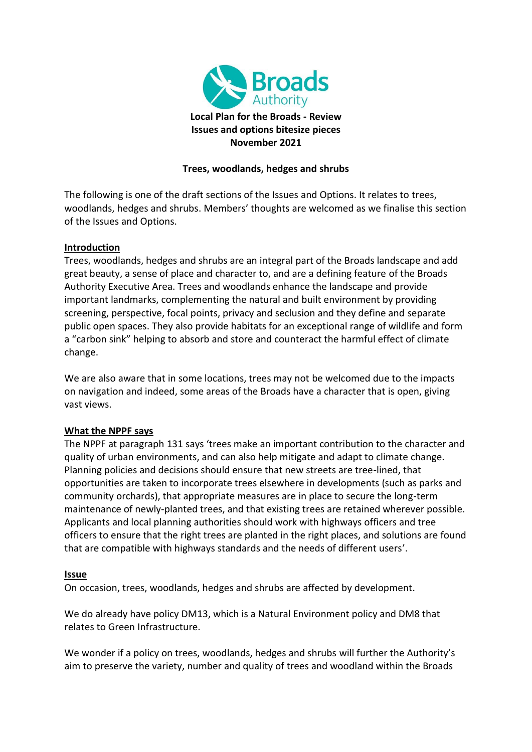

#### **Trees, woodlands, hedges and shrubs**

The following is one of the draft sections of the Issues and Options. It relates to trees, woodlands, hedges and shrubs. Members' thoughts are welcomed as we finalise this section of the Issues and Options.

#### **Introduction**

Trees, woodlands, hedges and shrubs are an integral part of the Broads landscape and add great beauty, a sense of place and character to, and are a defining feature of the Broads Authority Executive Area. Trees and woodlands enhance the landscape and provide important landmarks, complementing the natural and built environment by providing screening, perspective, focal points, privacy and seclusion and they define and separate public open spaces. They also provide habitats for an exceptional range of wildlife and form a "carbon sink" helping to absorb and store and counteract the harmful effect of climate change.

We are also aware that in some locations, trees may not be welcomed due to the impacts on navigation and indeed, some areas of the Broads have a character that is open, giving vast views.

#### **What the NPPF says**

The NPPF at paragraph 131 says 'trees make an important contribution to the character and quality of urban environments, and can also help mitigate and adapt to climate change. Planning policies and decisions should ensure that new streets are tree-lined, that opportunities are taken to incorporate trees elsewhere in developments (such as parks and community orchards), that appropriate measures are in place to secure the long-term maintenance of newly-planted trees, and that existing trees are retained wherever possible. Applicants and local planning authorities should work with highways officers and tree officers to ensure that the right trees are planted in the right places, and solutions are found that are compatible with highways standards and the needs of different users'.

#### **Issue**

On occasion, trees, woodlands, hedges and shrubs are affected by development.

We do already have policy DM13, which is a Natural Environment policy and DM8 that relates to Green Infrastructure.

We wonder if a policy on trees, woodlands, hedges and shrubs will further the Authority's aim to preserve the variety, number and quality of trees and woodland within the Broads